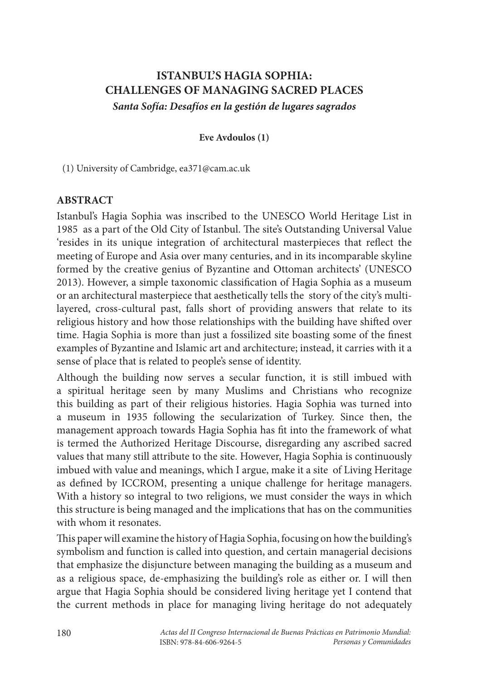# **ISTANBUL'S HAGIA SOPHIA: CHALLENGES OF MANAGING SACRED PLACES** *Santa Sofía: Desafíos en la gestión de lugares sagrados*

#### **Eve Avdoulos (1)**

(1) University of Cambridge, ea371@cam.ac.uk

# **ABSTRACT**

Istanbul's Hagia Sophia was inscribed to the UNESCO World Heritage List in 1985 as a part of the Old City of Istanbul. The site's Outstanding Universal Value 'resides in its unique integration of architectural masterpieces that reflect the meeting of Europe and Asia over many centuries, and in its incomparable skyline formed by the creative genius of Byzantine and Ottoman architects' (UNESCO 2013). However, a simple taxonomic classification of Hagia Sophia as a museum or an architectural masterpiece that aesthetically tells the story of the city's multilayered, cross-cultural past, falls short of providing answers that relate to its religious history and how those relationships with the building have shifted over time. Hagia Sophia is more than just a fossilized site boasting some of the finest examples of Byzantine and Islamic art and architecture; instead, it carries with it a sense of place that is related to people's sense of identity.

Although the building now serves a secular function, it is still imbued with a spiritual heritage seen by many Muslims and Christians who recognize this building as part of their religious histories. Hagia Sophia was turned into a museum in 1935 following the secularization of Turkey. Since then, the management approach towards Hagia Sophia has fit into the framework of what is termed the Authorized Heritage Discourse, disregarding any ascribed sacred values that many still attribute to the site. However, Hagia Sophia is continuously imbued with value and meanings, which I argue, make it a site of Living Heritage as defined by ICCROM, presenting a unique challenge for heritage managers. With a history so integral to two religions, we must consider the ways in which this structure is being managed and the implications that has on the communities with whom it resonates.

This paper will examine the history of Hagia Sophia, focusing on how the building's symbolism and function is called into question, and certain managerial decisions that emphasize the disjuncture between managing the building as a museum and as a religious space, de-emphasizing the building's role as either or. I will then argue that Hagia Sophia should be considered living heritage yet I contend that the current methods in place for managing living heritage do not adequately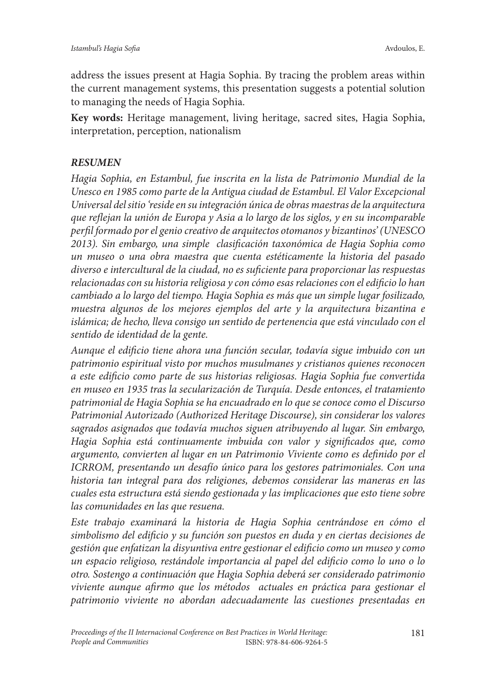address the issues present at Hagia Sophia. By tracing the problem areas within the current management systems, this presentation suggests a potential solution to managing the needs of Hagia Sophia.

**Key words:** Heritage management, living heritage, sacred sites, Hagia Sophia, interpretation, perception, nationalism

# *RESUMEN*

*Hagia Sophia, en Estambul, fue inscrita en la lista de Patrimonio Mundial de la Unesco en 1985 como parte de la Antigua ciudad de Estambul. El Valor Excepcional Universal del sitio 'reside en su integración única de obras maestras de la arquitectura que reflejan la unión de Europa y Asia a lo largo de los siglos, y en su incomparable perfil formado por el genio creativo de arquitectos otomanos y bizantinos' (UNESCO 2013). Sin embargo, una simple clasificación taxonómica de Hagia Sophia como un museo o una obra maestra que cuenta estéticamente la historia del pasado diverso e intercultural de la ciudad, no es suficiente para proporcionar las respuestas relacionadas con su historia religiosa y con cómo esas relaciones con el edificio lo han cambiado a lo largo del tiempo. Hagia Sophia es más que un simple lugar fosilizado, muestra algunos de los mejores ejemplos del arte y la arquitectura bizantina e islámica; de hecho, lleva consigo un sentido de pertenencia que está vinculado con el sentido de identidad de la gente.* 

*Aunque el edificio tiene ahora una función secular, todavía sigue imbuido con un patrimonio espiritual visto por muchos musulmanes y cristianos quienes reconocen a este edificio como parte de sus historias religiosas. Hagia Sophia fue convertida en museo en 1935 tras la secularización de Turquía. Desde entonces, el tratamiento patrimonial de Hagia Sophia se ha encuadrado en lo que se conoce como el Discurso Patrimonial Autorizado (Authorized Heritage Discourse), sin considerar los valores sagrados asignados que todavía muchos siguen atribuyendo al lugar. Sin embargo, Hagia Sophia está continuamente imbuida con valor y significados que, como argumento, convierten al lugar en un Patrimonio Viviente como es definido por el ICRROM, presentando un desafío único para los gestores patrimoniales. Con una historia tan integral para dos religiones, debemos considerar las maneras en las cuales esta estructura está siendo gestionada y las implicaciones que esto tiene sobre las comunidades en las que resuena.* 

*Este trabajo examinará la historia de Hagia Sophia centrándose en cómo el simbolismo del edificio y su función son puestos en duda y en ciertas decisiones de gestión que enfatizan la disyuntiva entre gestionar el edificio como un museo y como un espacio religioso, restándole importancia al papel del edificio como lo uno o lo otro. Sostengo a continuación que Hagia Sophia deberá ser considerado patrimonio*  viviente aunque afirmo que los métodos actuales en práctica para gestionar el *patrimonio viviente no abordan adecuadamente las cuestiones presentadas en*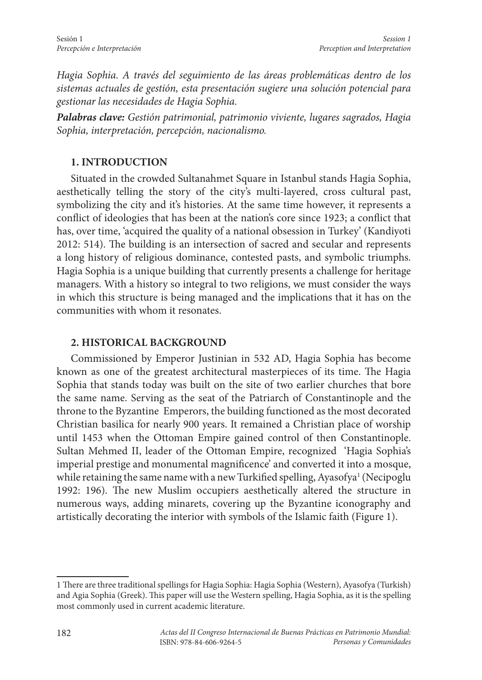*Hagia Sophia. A través del seguimiento de las áreas problemáticas dentro de los sistemas actuales de gestión, esta presentación sugiere una solución potencial para gestionar las necesidades de Hagia Sophia.* 

*Palabras clave: Gestión patrimonial, patrimonio viviente, lugares sagrados, Hagia Sophia, interpretación, percepción, nacionalismo.*

# **1. INTRODUCTION**

Situated in the crowded Sultanahmet Square in Istanbul stands Hagia Sophia, aesthetically telling the story of the city's multi-layered, cross cultural past, symbolizing the city and it's histories. At the same time however, it represents a conflict of ideologies that has been at the nation's core since 1923; a conflict that has, over time, 'acquired the quality of a national obsession in Turkey' (Kandiyoti 2012: 514). The building is an intersection of sacred and secular and represents a long history of religious dominance, contested pasts, and symbolic triumphs. Hagia Sophia is a unique building that currently presents a challenge for heritage managers. With a history so integral to two religions, we must consider the ways in which this structure is being managed and the implications that it has on the communities with whom it resonates.

#### **2. HISTORICAL BACKGROUND**

Commissioned by Emperor Justinian in 532 AD, Hagia Sophia has become known as one of the greatest architectural masterpieces of its time. The Hagia Sophia that stands today was built on the site of two earlier churches that bore the same name. Serving as the seat of the Patriarch of Constantinople and the throne to the Byzantine Emperors, the building functioned as the most decorated Christian basilica for nearly 900 years. It remained a Christian place of worship until 1453 when the Ottoman Empire gained control of then Constantinople. Sultan Mehmed II, leader of the Ottoman Empire, recognized 'Hagia Sophia's imperial prestige and monumental magnificence' and converted it into a mosque, while retaining the same name with a new Turkified spelling, Ayasofya<sup>1</sup> (Necipoglu 1992: 196). The new Muslim occupiers aesthetically altered the structure in numerous ways, adding minarets, covering up the Byzantine iconography and artistically decorating the interior with symbols of the Islamic faith (Figure 1).

<sup>1</sup> There are three traditional spellings for Hagia Sophia: Hagia Sophia (Western), Ayasofya (Turkish) and Agia Sophia (Greek). This paper will use the Western spelling, Hagia Sophia, as it is the spelling most commonly used in current academic literature.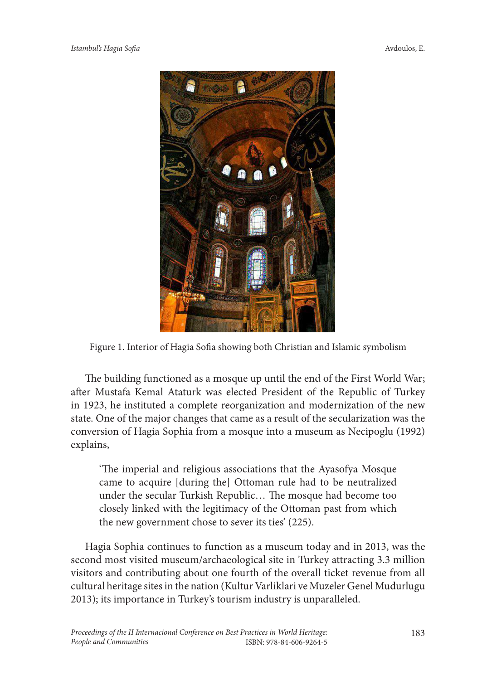

Figure 1. Interior of Hagia Sofia showing both Christian and Islamic symbolism

The building functioned as a mosque up until the end of the First World War; after Mustafa Kemal Ataturk was elected President of the Republic of Turkey in 1923, he instituted a complete reorganization and modernization of the new state. One of the major changes that came as a result of the secularization was the conversion of Hagia Sophia from a mosque into a museum as Necipoglu (1992) explains,

'The imperial and religious associations that the Ayasofya Mosque came to acquire [during the] Ottoman rule had to be neutralized under the secular Turkish Republic… The mosque had become too closely linked with the legitimacy of the Ottoman past from which the new government chose to sever its ties' (225).

Hagia Sophia continues to function as a museum today and in 2013, was the second most visited museum/archaeological site in Turkey attracting 3.3 million visitors and contributing about one fourth of the overall ticket revenue from all cultural heritage sites in the nation (Kultur Varliklari ve Muzeler Genel Mudurlugu 2013); its importance in Turkey's tourism industry is unparalleled.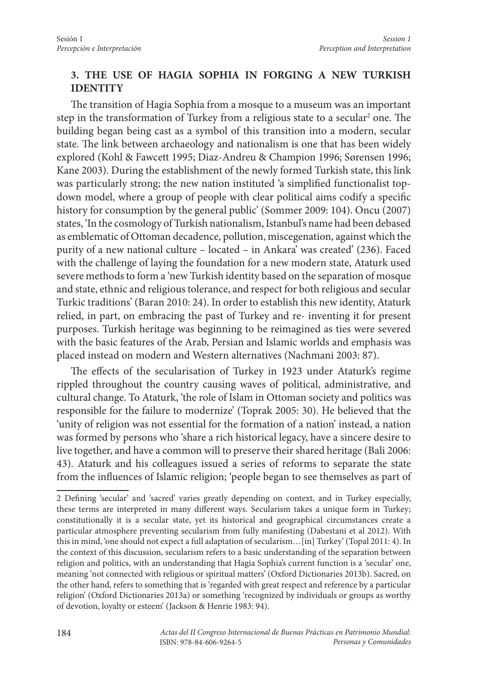# **3. THE USE OF HAGIA SOPHIA IN FORGING A NEW TURKISH IDENTITY**

The transition of Hagia Sophia from a mosque to a museum was an important step in the transformation of Turkey from a religious state to a secular<sup>2</sup> one. The building began being cast as a symbol of this transition into a modern, secular state. The link between archaeology and nationalism is one that has been widely explored (Kohl & Fawcett 1995; Diaz-Andreu & Champion 1996; Sørensen 1996; Kane 2003). During the establishment of the newly formed Turkish state, this link was particularly strong; the new nation instituted 'a simplified functionalist topdown model, where a group of people with clear political aims codify a specific history for consumption by the general public' (Sommer 2009: 104). Oncu (2007) states, 'In the cosmology of Turkish nationalism, Istanbul's name had been debased as emblematic of Ottoman decadence, pollution, miscegenation, against which the purity of a new national culture – located – in Ankara' was created' (236). Faced with the challenge of laying the foundation for a new modern state, Ataturk used severe methods to form a 'new Turkish identity based on the separation of mosque and state, ethnic and religious tolerance, and respect for both religious and secular Turkic traditions' (Baran 2010: 24). In order to establish this new identity, Ataturk relied, in part, on embracing the past of Turkey and re- inventing it for present purposes. Turkish heritage was beginning to be reimagined as ties were severed with the basic features of the Arab, Persian and Islamic worlds and emphasis was placed instead on modern and Western alternatives (Nachmani 2003: 87).

The effects of the secularisation of Turkey in 1923 under Ataturk's regime rippled throughout the country causing waves of political, administrative, and cultural change. To Ataturk, 'the role of Islam in Ottoman society and politics was responsible for the failure to modernize' (Toprak 2005: 30). He believed that the 'unity of religion was not essential for the formation of a nation' instead, a nation was formed by persons who 'share a rich historical legacy, have a sincere desire to live together, and have a common will to preserve their shared heritage (Bali 2006: 43). Ataturk and his colleagues issued a series of reforms to separate the state from the influences of Islamic religion; 'people began to see themselves as part of

<sup>2</sup> Defining 'secular' and 'sacred' varies greatly depending on context, and in Turkey especially, these terms are interpreted in many different ways. Secularism takes a unique form in Turkey; constitutionally it is a secular state, yet its historical and geographical circumstances create a particular atmosphere preventing secularism from fully manifesting (Dabestani et al 2012). With this in mind, 'one should not expect a full adaptation of secularism…[in] Turkey' (Topal 2011: 4). In the context of this discussion, secularism refers to a basic understanding of the separation between religion and politics, with an understanding that Hagia Sophia's current function is a 'secular' one, meaning 'not connected with religious or spiritual matters' (Oxford Dictionaries 2013b). Sacred, on the other hand, refers to something that is 'regarded with great respect and reference by a particular religion' (Oxford Dictionaries 2013a) or something 'recognized by individuals or groups as worthy of devotion, loyalty or esteem' (Jackson & Henrie 1983: 94).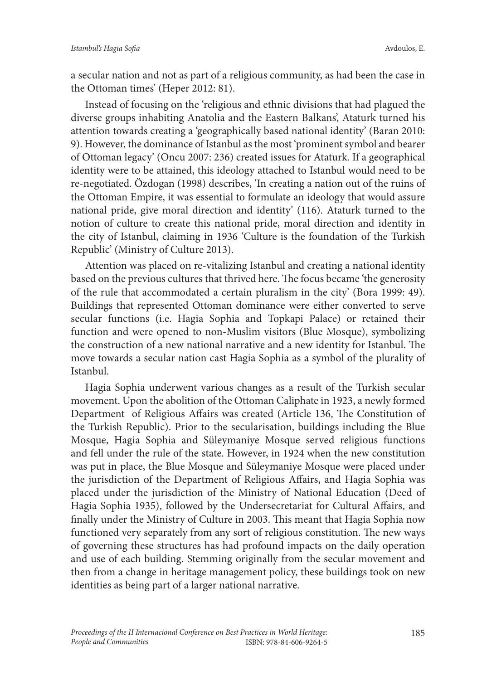a secular nation and not as part of a religious community, as had been the case in the Ottoman times' (Heper 2012: 81).

Instead of focusing on the 'religious and ethnic divisions that had plagued the diverse groups inhabiting Anatolia and the Eastern Balkans', Ataturk turned his attention towards creating a 'geographically based national identity' (Baran 2010: 9). However, the dominance of Istanbul as the most 'prominent symbol and bearer of Ottoman legacy' (Oncu 2007: 236) created issues for Ataturk. If a geographical identity were to be attained, this ideology attached to Istanbul would need to be re-negotiated. Özdogan (1998) describes, 'In creating a nation out of the ruins of the Ottoman Empire, it was essential to formulate an ideology that would assure national pride, give moral direction and identity' (116). Ataturk turned to the notion of culture to create this national pride, moral direction and identity in the city of Istanbul, claiming in 1936 'Culture is the foundation of the Turkish Republic' (Ministry of Culture 2013).

Attention was placed on re-vitalizing Istanbul and creating a national identity based on the previous cultures that thrived here. The focus became 'the generosity of the rule that accommodated a certain pluralism in the city' (Bora 1999: 49). Buildings that represented Ottoman dominance were either converted to serve secular functions (i.e. Hagia Sophia and Topkapi Palace) or retained their function and were opened to non-Muslim visitors (Blue Mosque), symbolizing the construction of a new national narrative and a new identity for Istanbul. The move towards a secular nation cast Hagia Sophia as a symbol of the plurality of Istanbul.

Hagia Sophia underwent various changes as a result of the Turkish secular movement. Upon the abolition of the Ottoman Caliphate in 1923, a newly formed Department of Religious Affairs was created (Article 136, The Constitution of the Turkish Republic). Prior to the secularisation, buildings including the Blue Mosque, Hagia Sophia and Süleymaniye Mosque served religious functions and fell under the rule of the state. However, in 1924 when the new constitution was put in place, the Blue Mosque and Süleymaniye Mosque were placed under the jurisdiction of the Department of Religious Affairs, and Hagia Sophia was placed under the jurisdiction of the Ministry of National Education (Deed of Hagia Sophia 1935), followed by the Undersecretariat for Cultural Affairs, and finally under the Ministry of Culture in 2003. This meant that Hagia Sophia now functioned very separately from any sort of religious constitution. The new ways of governing these structures has had profound impacts on the daily operation and use of each building. Stemming originally from the secular movement and then from a change in heritage management policy, these buildings took on new identities as being part of a larger national narrative.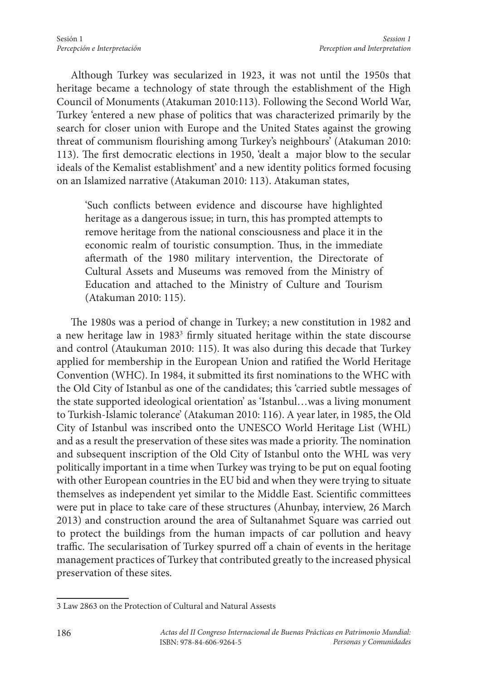Although Turkey was secularized in 1923, it was not until the 1950s that heritage became a technology of state through the establishment of the High Council of Monuments (Atakuman 2010:113). Following the Second World War, Turkey 'entered a new phase of politics that was characterized primarily by the search for closer union with Europe and the United States against the growing threat of communism flourishing among Turkey's neighbours' (Atakuman 2010: 113). The first democratic elections in 1950, 'dealt a major blow to the secular ideals of the Kemalist establishment' and a new identity politics formed focusing on an Islamized narrative (Atakuman 2010: 113). Atakuman states,

'Such conflicts between evidence and discourse have highlighted heritage as a dangerous issue; in turn, this has prompted attempts to remove heritage from the national consciousness and place it in the economic realm of touristic consumption. Thus, in the immediate aftermath of the 1980 military intervention, the Directorate of Cultural Assets and Museums was removed from the Ministry of Education and attached to the Ministry of Culture and Tourism (Atakuman 2010: 115).

The 1980s was a period of change in Turkey; a new constitution in 1982 and a new heritage law in 1983<sup>3</sup> firmly situated heritage within the state discourse and control (Ataukuman 2010: 115). It was also during this decade that Turkey applied for membership in the European Union and ratified the World Heritage Convention (WHC). In 1984, it submitted its first nominations to the WHC with the Old City of Istanbul as one of the candidates; this 'carried subtle messages of the state supported ideological orientation' as 'Istanbul…was a living monument to Turkish-Islamic tolerance' (Atakuman 2010: 116). A year later, in 1985, the Old City of Istanbul was inscribed onto the UNESCO World Heritage List (WHL) and as a result the preservation of these sites was made a priority. The nomination and subsequent inscription of the Old City of Istanbul onto the WHL was very politically important in a time when Turkey was trying to be put on equal footing with other European countries in the EU bid and when they were trying to situate themselves as independent yet similar to the Middle East. Scientific committees were put in place to take care of these structures (Ahunbay, interview, 26 March 2013) and construction around the area of Sultanahmet Square was carried out to protect the buildings from the human impacts of car pollution and heavy traffic. The secularisation of Turkey spurred off a chain of events in the heritage management practices of Turkey that contributed greatly to the increased physical preservation of these sites.

<sup>3</sup> Law 2863 on the Protection of Cultural and Natural Assests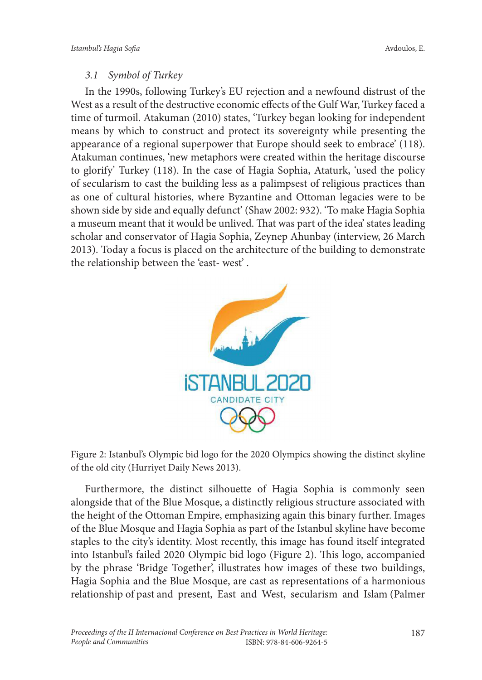# *3.1 Symbol of Turkey*

In the 1990s, following Turkey's EU rejection and a newfound distrust of the West as a result of the destructive economic effects of the Gulf War, Turkey faced a time of turmoil. Atakuman (2010) states, 'Turkey began looking for independent means by which to construct and protect its sovereignty while presenting the appearance of a regional superpower that Europe should seek to embrace' (118). Atakuman continues, 'new metaphors were created within the heritage discourse to glorify' Turkey (118). In the case of Hagia Sophia, Ataturk, 'used the policy of secularism to cast the building less as a palimpsest of religious practices than as one of cultural histories, where Byzantine and Ottoman legacies were to be shown side by side and equally defunct' (Shaw 2002: 932). 'To make Hagia Sophia a museum meant that it would be unlived. That was part of the idea' states leading scholar and conservator of Hagia Sophia, Zeynep Ahunbay (interview, 26 March 2013). Today a focus is placed on the architecture of the building to demonstrate the relationship between the 'east- west' .



Figure 2: Istanbul's Olympic bid logo for the 2020 Olympics showing the distinct skyline of the old city (Hurriyet Daily News 2013).

Furthermore, the distinct silhouette of Hagia Sophia is commonly seen alongside that of the Blue Mosque, a distinctly religious structure associated with the height of the Ottoman Empire, emphasizing again this binary further. Images of the Blue Mosque and Hagia Sophia as part of the Istanbul skyline have become staples to the city's identity. Most recently, this image has found itself integrated into Istanbul's failed 2020 Olympic bid logo (Figure 2). This logo, accompanied by the phrase 'Bridge Together', illustrates how images of these two buildings, Hagia Sophia and the Blue Mosque, are cast as representations of a harmonious relationship of past and present, East and West, secularism and Islam (Palmer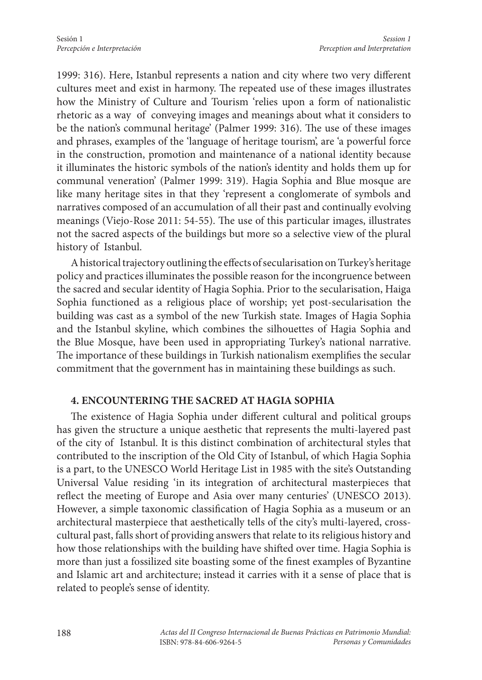1999: 316). Here, Istanbul represents a nation and city where two very different cultures meet and exist in harmony. The repeated use of these images illustrates how the Ministry of Culture and Tourism 'relies upon a form of nationalistic rhetoric as a way of conveying images and meanings about what it considers to be the nation's communal heritage' (Palmer 1999: 316). The use of these images and phrases, examples of the 'language of heritage tourism', are 'a powerful force in the construction, promotion and maintenance of a national identity because it illuminates the historic symbols of the nation's identity and holds them up for communal veneration' (Palmer 1999: 319). Hagia Sophia and Blue mosque are like many heritage sites in that they 'represent a conglomerate of symbols and narratives composed of an accumulation of all their past and continually evolving meanings (Viejo-Rose 2011: 54-55). The use of this particular images, illustrates not the sacred aspects of the buildings but more so a selective view of the plural history of Istanbul.

A historical trajectory outlining the effects of secularisation on Turkey's heritage policy and practices illuminates the possible reason for the incongruence between the sacred and secular identity of Hagia Sophia. Prior to the secularisation, Haiga Sophia functioned as a religious place of worship; yet post-secularisation the building was cast as a symbol of the new Turkish state. Images of Hagia Sophia and the Istanbul skyline, which combines the silhouettes of Hagia Sophia and the Blue Mosque, have been used in appropriating Turkey's national narrative. The importance of these buildings in Turkish nationalism exemplifies the secular commitment that the government has in maintaining these buildings as such.

#### **4. ENCOUNTERING THE SACRED AT HAGIA SOPHIA**

The existence of Hagia Sophia under different cultural and political groups has given the structure a unique aesthetic that represents the multi-layered past of the city of Istanbul. It is this distinct combination of architectural styles that contributed to the inscription of the Old City of Istanbul, of which Hagia Sophia is a part, to the UNESCO World Heritage List in 1985 with the site's Outstanding Universal Value residing 'in its integration of architectural masterpieces that reflect the meeting of Europe and Asia over many centuries' (UNESCO 2013). However, a simple taxonomic classification of Hagia Sophia as a museum or an architectural masterpiece that aesthetically tells of the city's multi-layered, crosscultural past, falls short of providing answers that relate to its religious history and how those relationships with the building have shifted over time. Hagia Sophia is more than just a fossilized site boasting some of the finest examples of Byzantine and Islamic art and architecture; instead it carries with it a sense of place that is related to people's sense of identity.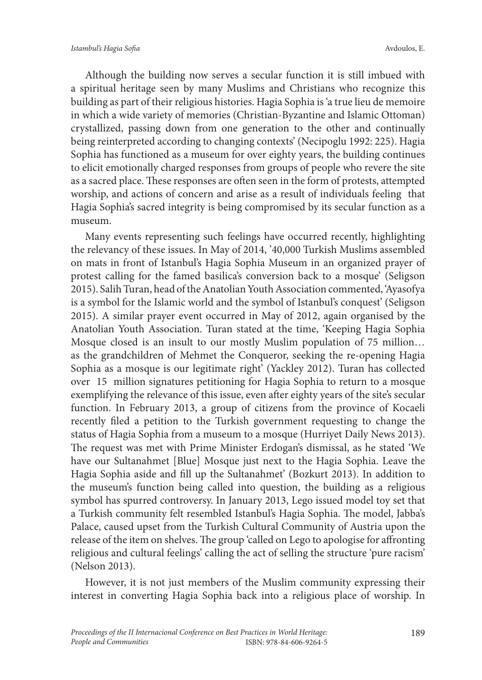Although the building now serves a secular function it is still imbued with a spiritual heritage seen by many Muslims and Christians who recognize this building as part of their religious histories. Hagia Sophia is 'a true lieu de memoire in which a wide variety of memories (Christian-Byzantine and Islamic Ottoman) crystallized, passing down from one generation to the other and continually being reinterpreted according to changing contexts' (Necipoglu 1992: 225). Hagia Sophia has functioned as a museum for over eighty years, the building continues to elicit emotionally charged responses from groups of people who revere the site as a sacred place. These responses are often seen in the form of protests, attempted worship, and actions of concern and arise as a result of individuals feeling that Hagia Sophia's sacred integrity is being compromised by its secular function as a museum.

Many events representing such feelings have occurred recently, highlighting the relevancy of these issues. In May of 2014, '40,000 Turkish Muslims assembled on mats in front of Istanbul's Hagia Sophia Museum in an organized prayer of protest calling for the famed basilica's conversion back to a mosque' (Seligson 2015). Salih Turan, head of the Anatolian Youth Association commented, 'Ayasofya is a symbol for the Islamic world and the symbol of Istanbul's conquest' (Seligson 2015). A similar prayer event occurred in May of 2012, again organised by the Anatolian Youth Association. Turan stated at the time, 'Keeping Hagia Sophia Mosque closed is an insult to our mostly Muslim population of 75 million… as the grandchildren of Mehmet the Conqueror, seeking the re-opening Hagia Sophia as a mosque is our legitimate right' (Yackley 2012). Turan has collected over 15 million signatures petitioning for Hagia Sophia to return to a mosque exemplifying the relevance of this issue, even after eighty years of the site's secular function. In February 2013, a group of citizens from the province of Kocaeli recently filed a petition to the Turkish government requesting to change the status of Hagia Sophia from a museum to a mosque (Hurriyet Daily News 2013). The request was met with Prime Minister Erdogan's dismissal, as he stated 'We have our Sultanahmet [Blue] Mosque just next to the Hagia Sophia. Leave the Hagia Sophia aside and fill up the Sultanahmet' (Bozkurt 2013). In addition to the museum's function being called into question, the building as a religious symbol has spurred controversy. In January 2013, Lego issued model toy set that a Turkish community felt resembled Istanbul's Hagia Sophia. The model, Jabba's Palace, caused upset from the Turkish Cultural Community of Austria upon the release of the item on shelves. The group 'called on Lego to apologise for affronting religious and cultural feelings' calling the act of selling the structure 'pure racism' (Nelson 2013).

However, it is not just members of the Muslim community expressing their interest in converting Hagia Sophia back into a religious place of worship. In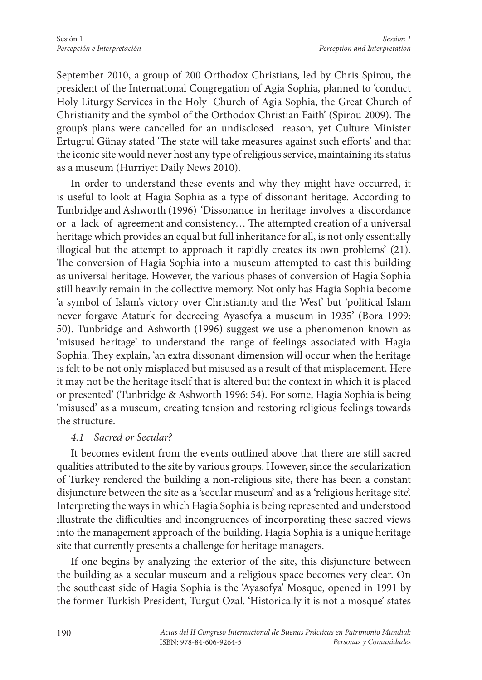September 2010, a group of 200 Orthodox Christians, led by Chris Spirou, the president of the International Congregation of Agia Sophia, planned to 'conduct Holy Liturgy Services in the Holy Church of Agia Sophia, the Great Church of Christianity and the symbol of the Orthodox Christian Faith' (Spirou 2009). The group's plans were cancelled for an undisclosed reason, yet Culture Minister Ertugrul Günay stated 'The state will take measures against such efforts' and that the iconic site would never host any type of religious service, maintaining its status as a museum (Hurriyet Daily News 2010).

In order to understand these events and why they might have occurred, it is useful to look at Hagia Sophia as a type of dissonant heritage. According to Tunbridge and Ashworth (1996) 'Dissonance in heritage involves a discordance or a lack of agreement and consistency… The attempted creation of a universal heritage which provides an equal but full inheritance for all, is not only essentially illogical but the attempt to approach it rapidly creates its own problems' (21). The conversion of Hagia Sophia into a museum attempted to cast this building as universal heritage. However, the various phases of conversion of Hagia Sophia still heavily remain in the collective memory. Not only has Hagia Sophia become 'a symbol of Islam's victory over Christianity and the West' but 'political Islam never forgave Ataturk for decreeing Ayasofya a museum in 1935' (Bora 1999: 50). Tunbridge and Ashworth (1996) suggest we use a phenomenon known as 'misused heritage' to understand the range of feelings associated with Hagia Sophia. They explain, 'an extra dissonant dimension will occur when the heritage is felt to be not only misplaced but misused as a result of that misplacement. Here it may not be the heritage itself that is altered but the context in which it is placed or presented' (Tunbridge & Ashworth 1996: 54). For some, Hagia Sophia is being 'misused' as a museum, creating tension and restoring religious feelings towards the structure.

#### *4.1 Sacred or Secular?*

It becomes evident from the events outlined above that there are still sacred qualities attributed to the site by various groups. However, since the secularization of Turkey rendered the building a non-religious site, there has been a constant disjuncture between the site as a 'secular museum' and as a 'religious heritage site'. Interpreting the ways in which Hagia Sophia is being represented and understood illustrate the difficulties and incongruences of incorporating these sacred views into the management approach of the building. Hagia Sophia is a unique heritage site that currently presents a challenge for heritage managers.

If one begins by analyzing the exterior of the site, this disjuncture between the building as a secular museum and a religious space becomes very clear. On the southeast side of Hagia Sophia is the 'Ayasofya' Mosque, opened in 1991 by the former Turkish President, Turgut Ozal. 'Historically it is not a mosque' states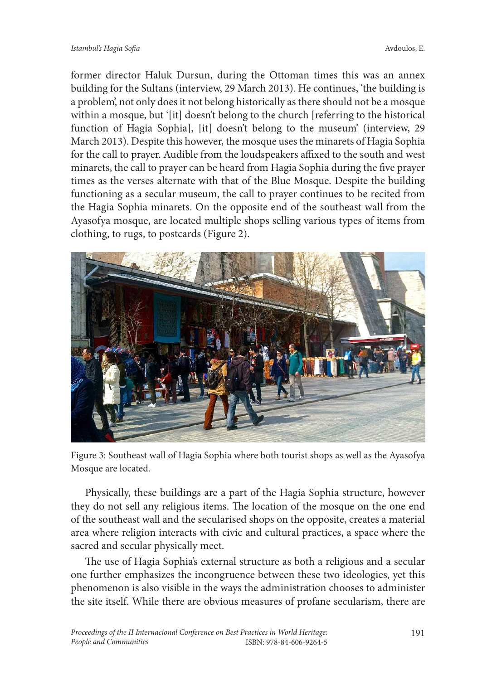former director Haluk Dursun, during the Ottoman times this was an annex building for the Sultans (interview, 29 March 2013). He continues, 'the building is a problem', not only does it not belong historically as there should not be a mosque within a mosque, but '[it] doesn't belong to the church [referring to the historical function of Hagia Sophia], [it] doesn't belong to the museum' (interview, 29 March 2013). Despite this however, the mosque uses the minarets of Hagia Sophia for the call to prayer. Audible from the loudspeakers affixed to the south and west minarets, the call to prayer can be heard from Hagia Sophia during the five prayer times as the verses alternate with that of the Blue Mosque. Despite the building functioning as a secular museum, the call to prayer continues to be recited from the Hagia Sophia minarets. On the opposite end of the southeast wall from the Ayasofya mosque, are located multiple shops selling various types of items from clothing, to rugs, to postcards (Figure 2).



Figure 3: Southeast wall of Hagia Sophia where both tourist shops as well as the Ayasofya Mosque are located.

Physically, these buildings are a part of the Hagia Sophia structure, however they do not sell any religious items. The location of the mosque on the one end of the southeast wall and the secularised shops on the opposite, creates a material area where religion interacts with civic and cultural practices, a space where the sacred and secular physically meet.

The use of Hagia Sophia's external structure as both a religious and a secular one further emphasizes the incongruence between these two ideologies, yet this phenomenon is also visible in the ways the administration chooses to administer the site itself. While there are obvious measures of profane secularism, there are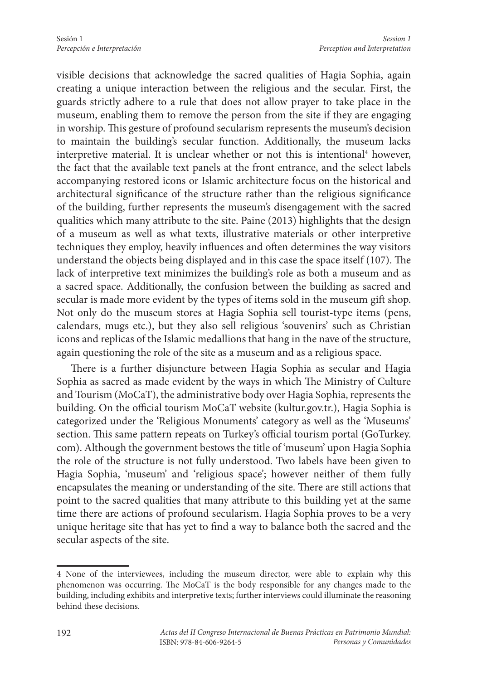visible decisions that acknowledge the sacred qualities of Hagia Sophia, again creating a unique interaction between the religious and the secular. First, the guards strictly adhere to a rule that does not allow prayer to take place in the museum, enabling them to remove the person from the site if they are engaging in worship. This gesture of profound secularism represents the museum's decision to maintain the building's secular function. Additionally, the museum lacks interpretive material. It is unclear whether or not this is intentional<sup>4</sup> however, the fact that the available text panels at the front entrance, and the select labels accompanying restored icons or Islamic architecture focus on the historical and architectural significance of the structure rather than the religious significance of the building, further represents the museum's disengagement with the sacred qualities which many attribute to the site. Paine (2013) highlights that the design of a museum as well as what texts, illustrative materials or other interpretive techniques they employ, heavily influences and often determines the way visitors understand the objects being displayed and in this case the space itself (107). The lack of interpretive text minimizes the building's role as both a museum and as a sacred space. Additionally, the confusion between the building as sacred and secular is made more evident by the types of items sold in the museum gift shop. Not only do the museum stores at Hagia Sophia sell tourist-type items (pens, calendars, mugs etc.), but they also sell religious 'souvenirs' such as Christian icons and replicas of the Islamic medallions that hang in the nave of the structure, again questioning the role of the site as a museum and as a religious space.

There is a further disjuncture between Hagia Sophia as secular and Hagia Sophia as sacred as made evident by the ways in which The Ministry of Culture and Tourism (MoCaT), the administrative body over Hagia Sophia, represents the building. On the official tourism MoCaT website (kultur.gov.tr.), Hagia Sophia is categorized under the 'Religious Monuments' category as well as the 'Museums' section. This same pattern repeats on Turkey's official tourism portal (GoTurkey. com). Although the government bestows the title of 'museum' upon Hagia Sophia the role of the structure is not fully understood. Two labels have been given to Hagia Sophia, 'museum' and 'religious space'; however neither of them fully encapsulates the meaning or understanding of the site. There are still actions that point to the sacred qualities that many attribute to this building yet at the same time there are actions of profound secularism. Hagia Sophia proves to be a very unique heritage site that has yet to find a way to balance both the sacred and the secular aspects of the site.

<sup>4</sup> None of the interviewees, including the museum director, were able to explain why this phenomenon was occurring. The MoCaT is the body responsible for any changes made to the building, including exhibits and interpretive texts; further interviews could illuminate the reasoning behind these decisions.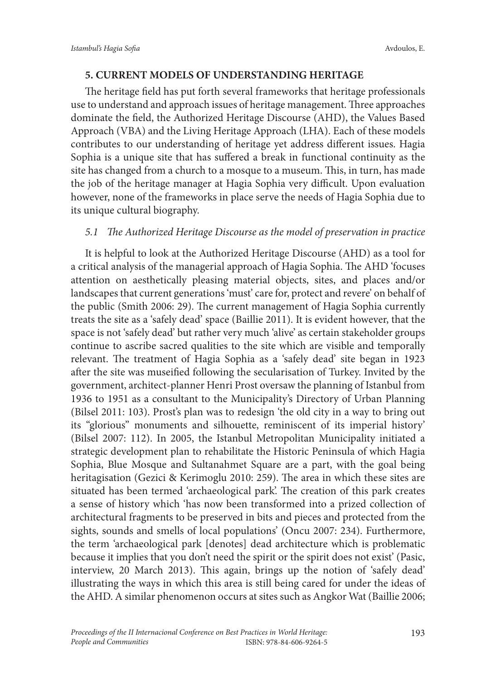# **5. CURRENT MODELS OF UNDERSTANDING HERITAGE**

The heritage field has put forth several frameworks that heritage professionals use to understand and approach issues of heritage management. Three approaches dominate the field, the Authorized Heritage Discourse (AHD), the Values Based Approach (VBA) and the Living Heritage Approach (LHA). Each of these models contributes to our understanding of heritage yet address different issues. Hagia Sophia is a unique site that has suffered a break in functional continuity as the site has changed from a church to a mosque to a museum. This, in turn, has made the job of the heritage manager at Hagia Sophia very difficult. Upon evaluation however, none of the frameworks in place serve the needs of Hagia Sophia due to its unique cultural biography.

# *5.1 The Authorized Heritage Discourse as the model of preservation in practice*

It is helpful to look at the Authorized Heritage Discourse (AHD) as a tool for a critical analysis of the managerial approach of Hagia Sophia. The AHD 'focuses attention on aesthetically pleasing material objects, sites, and places and/or landscapes that current generations 'must' care for, protect and revere' on behalf of the public (Smith 2006: 29). The current management of Hagia Sophia currently treats the site as a 'safely dead' space (Baillie 2011). It is evident however, that the space is not 'safely dead' but rather very much 'alive' as certain stakeholder groups continue to ascribe sacred qualities to the site which are visible and temporally relevant. The treatment of Hagia Sophia as a 'safely dead' site began in 1923 after the site was museified following the secularisation of Turkey. Invited by the government, architect-planner Henri Prost oversaw the planning of Istanbul from 1936 to 1951 as a consultant to the Municipality's Directory of Urban Planning (Bilsel 2011: 103). Prost's plan was to redesign 'the old city in a way to bring out its "glorious" monuments and silhouette, reminiscent of its imperial history' (Bilsel 2007: 112). In 2005, the Istanbul Metropolitan Municipality initiated a strategic development plan to rehabilitate the Historic Peninsula of which Hagia Sophia, Blue Mosque and Sultanahmet Square are a part, with the goal being heritagisation (Gezici & Kerimoglu 2010: 259). The area in which these sites are situated has been termed 'archaeological park'. The creation of this park creates a sense of history which 'has now been transformed into a prized collection of architectural fragments to be preserved in bits and pieces and protected from the sights, sounds and smells of local populations' (Oncu 2007: 234). Furthermore, the term 'archaeological park [denotes] dead architecture which is problematic because it implies that you don't need the spirit or the spirit does not exist' (Pasic, interview, 20 March 2013). This again, brings up the notion of 'safely dead' illustrating the ways in which this area is still being cared for under the ideas of the AHD. A similar phenomenon occurs at sites such as Angkor Wat (Baillie 2006;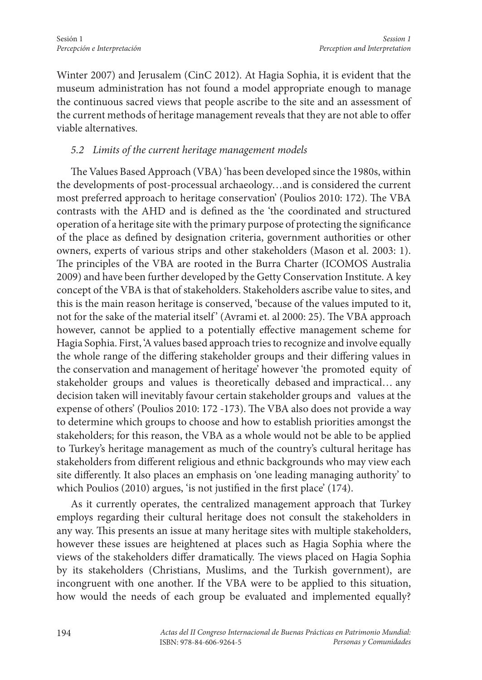Winter 2007) and Jerusalem (CinC 2012). At Hagia Sophia, it is evident that the museum administration has not found a model appropriate enough to manage the continuous sacred views that people ascribe to the site and an assessment of the current methods of heritage management reveals that they are not able to offer viable alternatives.

# *5.2 Limits of the current heritage management models*

The Values Based Approach (VBA) 'has been developed since the 1980s, within the developments of post-processual archaeology…and is considered the current most preferred approach to heritage conservation' (Poulios 2010: 172). The VBA contrasts with the AHD and is defined as the 'the coordinated and structured operation of a heritage site with the primary purpose of protecting the significance of the place as defined by designation criteria, government authorities or other owners, experts of various strips and other stakeholders (Mason et al. 2003: 1). The principles of the VBA are rooted in the Burra Charter (ICOMOS Australia 2009) and have been further developed by the Getty Conservation Institute. A key concept of the VBA is that of stakeholders. Stakeholders ascribe value to sites, and this is the main reason heritage is conserved, 'because of the values imputed to it, not for the sake of the material itself' (Avrami et. al 2000: 25). The VBA approach however, cannot be applied to a potentially effective management scheme for Hagia Sophia. First, 'A values based approach tries to recognize and involve equally the whole range of the differing stakeholder groups and their differing values in the conservation and management of heritage' however 'the promoted equity of stakeholder groups and values is theoretically debased and impractical… any decision taken will inevitably favour certain stakeholder groups and values at the expense of others' (Poulios 2010: 172 -173). The VBA also does not provide a way to determine which groups to choose and how to establish priorities amongst the stakeholders; for this reason, the VBA as a whole would not be able to be applied to Turkey's heritage management as much of the country's cultural heritage has stakeholders from different religious and ethnic backgrounds who may view each site differently. It also places an emphasis on 'one leading managing authority' to which Poulios (2010) argues, 'is not justified in the first place' (174).

As it currently operates, the centralized management approach that Turkey employs regarding their cultural heritage does not consult the stakeholders in any way. This presents an issue at many heritage sites with multiple stakeholders, however these issues are heightened at places such as Hagia Sophia where the views of the stakeholders differ dramatically. The views placed on Hagia Sophia by its stakeholders (Christians, Muslims, and the Turkish government), are incongruent with one another. If the VBA were to be applied to this situation, how would the needs of each group be evaluated and implemented equally?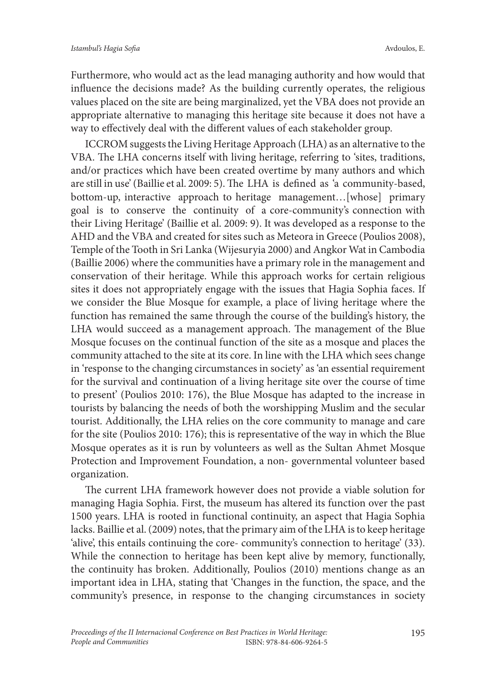Furthermore, who would act as the lead managing authority and how would that influence the decisions made? As the building currently operates, the religious values placed on the site are being marginalized, yet the VBA does not provide an appropriate alternative to managing this heritage site because it does not have a way to effectively deal with the different values of each stakeholder group.

ICCROM suggests the Living Heritage Approach (LHA) as an alternative to the VBA. The LHA concerns itself with living heritage, referring to 'sites, traditions, and/or practices which have been created overtime by many authors and which are still in use' (Baillie et al. 2009: 5). The LHA is defined as 'a community-based, bottom-up, interactive approach to heritage management…[whose] primary goal is to conserve the continuity of a core-community's connection with their Living Heritage' (Baillie et al. 2009: 9). It was developed as a response to the AHD and the VBA and created for sites such as Meteora in Greece (Poulios 2008), Temple of the Tooth in Sri Lanka (Wijesuryia 2000) and Angkor Wat in Cambodia (Baillie 2006) where the communities have a primary role in the management and conservation of their heritage. While this approach works for certain religious sites it does not appropriately engage with the issues that Hagia Sophia faces. If we consider the Blue Mosque for example, a place of living heritage where the function has remained the same through the course of the building's history, the LHA would succeed as a management approach. The management of the Blue Mosque focuses on the continual function of the site as a mosque and places the community attached to the site at its core. In line with the LHA which sees change in 'response to the changing circumstances in society' as 'an essential requirement for the survival and continuation of a living heritage site over the course of time to present' (Poulios 2010: 176), the Blue Mosque has adapted to the increase in tourists by balancing the needs of both the worshipping Muslim and the secular tourist. Additionally, the LHA relies on the core community to manage and care for the site (Poulios 2010: 176); this is representative of the way in which the Blue Mosque operates as it is run by volunteers as well as the Sultan Ahmet Mosque Protection and Improvement Foundation, a non- governmental volunteer based organization.

The current LHA framework however does not provide a viable solution for managing Hagia Sophia. First, the museum has altered its function over the past 1500 years. LHA is rooted in functional continuity, an aspect that Hagia Sophia lacks. Baillie et al. (2009) notes, that the primary aim of the LHA is to keep heritage 'alive', this entails continuing the core- community's connection to heritage' (33). While the connection to heritage has been kept alive by memory, functionally, the continuity has broken. Additionally, Poulios (2010) mentions change as an important idea in LHA, stating that 'Changes in the function, the space, and the community's presence, in response to the changing circumstances in society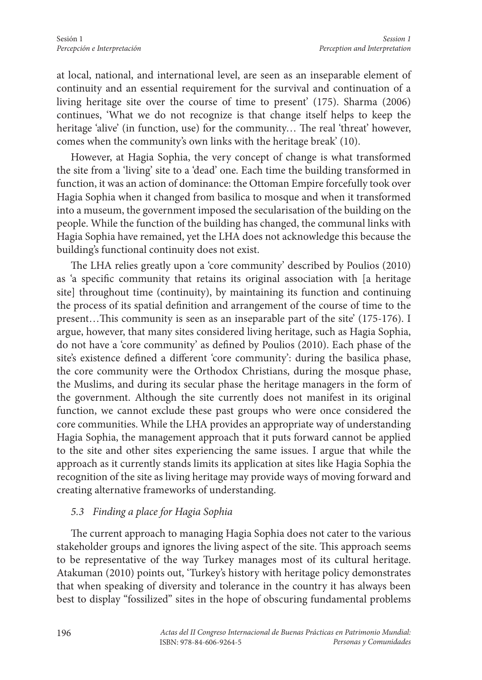at local, national, and international level, are seen as an inseparable element of continuity and an essential requirement for the survival and continuation of a living heritage site over the course of time to present' (175). Sharma (2006) continues, 'What we do not recognize is that change itself helps to keep the heritage 'alive' (in function, use) for the community... The real 'threat' however, comes when the community's own links with the heritage break' (10).

However, at Hagia Sophia, the very concept of change is what transformed the site from a 'living' site to a 'dead' one. Each time the building transformed in function, it was an action of dominance: the Ottoman Empire forcefully took over Hagia Sophia when it changed from basilica to mosque and when it transformed into a museum, the government imposed the secularisation of the building on the people. While the function of the building has changed, the communal links with Hagia Sophia have remained, yet the LHA does not acknowledge this because the building's functional continuity does not exist.

The LHA relies greatly upon a 'core community' described by Poulios (2010) as 'a specific community that retains its original association with [a heritage site] throughout time (continuity), by maintaining its function and continuing the process of its spatial definition and arrangement of the course of time to the present…This community is seen as an inseparable part of the site' (175-176). I argue, however, that many sites considered living heritage, such as Hagia Sophia, do not have a 'core community' as defined by Poulios (2010). Each phase of the site's existence defined a different 'core community': during the basilica phase, the core community were the Orthodox Christians, during the mosque phase, the Muslims, and during its secular phase the heritage managers in the form of the government. Although the site currently does not manifest in its original function, we cannot exclude these past groups who were once considered the core communities. While the LHA provides an appropriate way of understanding Hagia Sophia, the management approach that it puts forward cannot be applied to the site and other sites experiencing the same issues. I argue that while the approach as it currently stands limits its application at sites like Hagia Sophia the recognition of the site as living heritage may provide ways of moving forward and creating alternative frameworks of understanding.

#### *5.3 Finding a place for Hagia Sophia*

The current approach to managing Hagia Sophia does not cater to the various stakeholder groups and ignores the living aspect of the site. This approach seems to be representative of the way Turkey manages most of its cultural heritage. Atakuman (2010) points out, 'Turkey's history with heritage policy demonstrates that when speaking of diversity and tolerance in the country it has always been best to display "fossilized" sites in the hope of obscuring fundamental problems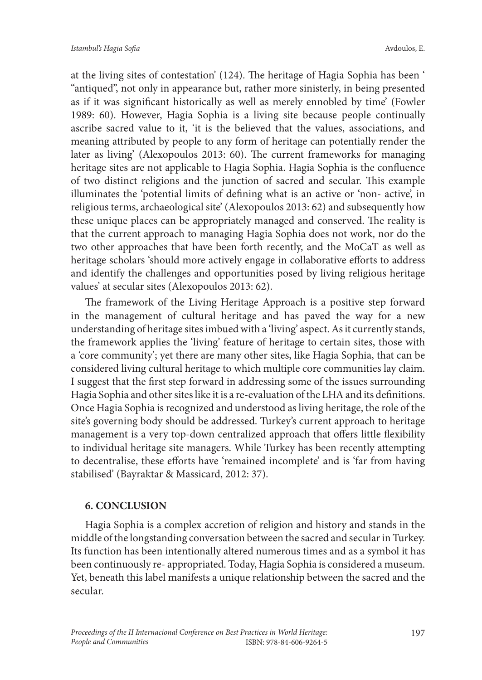at the living sites of contestation' (124). The heritage of Hagia Sophia has been ' "antiqued", not only in appearance but, rather more sinisterly, in being presented as if it was significant historically as well as merely ennobled by time' (Fowler 1989: 60). However, Hagia Sophia is a living site because people continually ascribe sacred value to it, 'it is the believed that the values, associations, and meaning attributed by people to any form of heritage can potentially render the later as living' (Alexopoulos 2013: 60). The current frameworks for managing heritage sites are not applicable to Hagia Sophia. Hagia Sophia is the confluence of two distinct religions and the junction of sacred and secular. This example illuminates the 'potential limits of defining what is an active or 'non- active', in religious terms, archaeological site' (Alexopoulos 2013: 62) and subsequently how these unique places can be appropriately managed and conserved. The reality is that the current approach to managing Hagia Sophia does not work, nor do the two other approaches that have been forth recently, and the MoCaT as well as heritage scholars 'should more actively engage in collaborative efforts to address and identify the challenges and opportunities posed by living religious heritage values' at secular sites (Alexopoulos 2013: 62).

The framework of the Living Heritage Approach is a positive step forward in the management of cultural heritage and has paved the way for a new understanding of heritage sites imbued with a 'living' aspect. As it currently stands, the framework applies the 'living' feature of heritage to certain sites, those with a 'core community'; yet there are many other sites, like Hagia Sophia, that can be considered living cultural heritage to which multiple core communities lay claim. I suggest that the first step forward in addressing some of the issues surrounding Hagia Sophia and other sites like it is a re-evaluation of the LHA and its definitions. Once Hagia Sophia is recognized and understood as living heritage, the role of the site's governing body should be addressed. Turkey's current approach to heritage management is a very top-down centralized approach that offers little flexibility to individual heritage site managers. While Turkey has been recently attempting to decentralise, these efforts have 'remained incomplete' and is 'far from having stabilised' (Bayraktar & Massicard, 2012: 37).

#### **6. CONCLUSION**

Hagia Sophia is a complex accretion of religion and history and stands in the middle of the longstanding conversation between the sacred and secular in Turkey. Its function has been intentionally altered numerous times and as a symbol it has been continuously re- appropriated. Today, Hagia Sophia is considered a museum. Yet, beneath this label manifests a unique relationship between the sacred and the secular.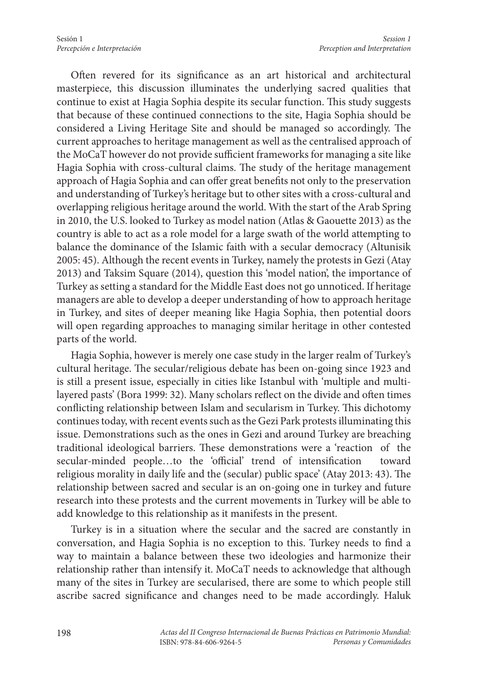Often revered for its significance as an art historical and architectural masterpiece, this discussion illuminates the underlying sacred qualities that continue to exist at Hagia Sophia despite its secular function. This study suggests that because of these continued connections to the site, Hagia Sophia should be considered a Living Heritage Site and should be managed so accordingly. The current approaches to heritage management as well as the centralised approach of the MoCaT however do not provide sufficient frameworks for managing a site like Hagia Sophia with cross-cultural claims. The study of the heritage management approach of Hagia Sophia and can offer great benefits not only to the preservation and understanding of Turkey's heritage but to other sites with a cross-cultural and overlapping religious heritage around the world. With the start of the Arab Spring in 2010, the U.S. looked to Turkey as model nation (Atlas & Gaouette 2013) as the country is able to act as a role model for a large swath of the world attempting to balance the dominance of the Islamic faith with a secular democracy (Altunisik 2005: 45). Although the recent events in Turkey, namely the protests in Gezi (Atay 2013) and Taksim Square (2014), question this 'model nation', the importance of Turkey as setting a standard for the Middle East does not go unnoticed. If heritage managers are able to develop a deeper understanding of how to approach heritage in Turkey, and sites of deeper meaning like Hagia Sophia, then potential doors will open regarding approaches to managing similar heritage in other contested parts of the world.

Hagia Sophia, however is merely one case study in the larger realm of Turkey's cultural heritage. The secular/religious debate has been on-going since 1923 and is still a present issue, especially in cities like Istanbul with 'multiple and multilayered pasts' (Bora 1999: 32). Many scholars reflect on the divide and often times conflicting relationship between Islam and secularism in Turkey. This dichotomy continues today, with recent events such as the Gezi Park protests illuminating this issue. Demonstrations such as the ones in Gezi and around Turkey are breaching traditional ideological barriers. These demonstrations were a 'reaction of the secular-minded people…to the 'official' trend of intensification toward religious morality in daily life and the (secular) public space' (Atay 2013: 43). The relationship between sacred and secular is an on-going one in turkey and future research into these protests and the current movements in Turkey will be able to add knowledge to this relationship as it manifests in the present.

Turkey is in a situation where the secular and the sacred are constantly in conversation, and Hagia Sophia is no exception to this. Turkey needs to find a way to maintain a balance between these two ideologies and harmonize their relationship rather than intensify it. MoCaT needs to acknowledge that although many of the sites in Turkey are secularised, there are some to which people still ascribe sacred significance and changes need to be made accordingly. Haluk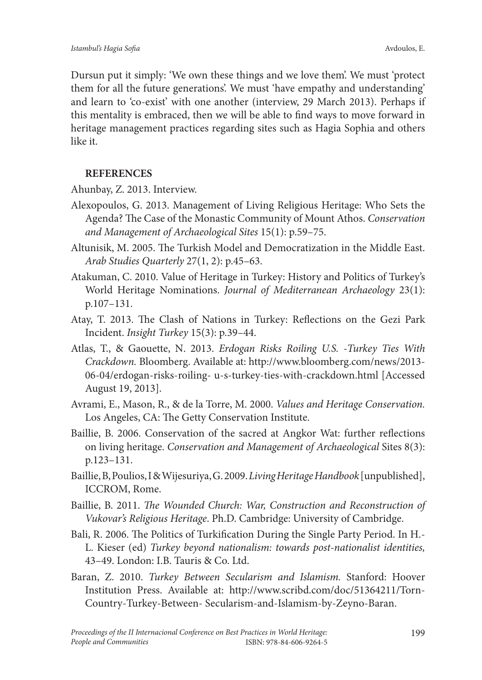Dursun put it simply: 'We own these things and we love them'. We must 'protect them for all the future generations'. We must 'have empathy and understanding' and learn to 'co-exist' with one another (interview, 29 March 2013). Perhaps if this mentality is embraced, then we will be able to find ways to move forward in heritage management practices regarding sites such as Hagia Sophia and others like it.

#### **REFERENCES**

Ahunbay, Z. 2013. Interview.

- Alexopoulos, G. 2013. Management of Living Religious Heritage: Who Sets the Agenda? The Case of the Monastic Community of Mount Athos. *Conservation and Management of Archaeological Sites* 15(1): p.59–75.
- Altunisik, M. 2005. The Turkish Model and Democratization in the Middle East. *Arab Studies Quarterly* 27(1, 2): p.45–63.
- Atakuman, C. 2010. Value of Heritage in Turkey: History and Politics of Turkey's World Heritage Nominations. *Journal of Mediterranean Archaeology* 23(1): p.107–131.
- Atay, T. 2013. The Clash of Nations in Turkey: Reflections on the Gezi Park Incident. *Insight Turkey* 15(3): p.39–44.
- Atlas, T., & Gaouette, N. 2013. *Erdogan Risks Roiling U.S. -Turkey Ties With Crackdown.* Bloomberg. Available at: http://www.bloomberg.com/news/2013- 06-04/erdogan-risks-roiling- u-s-turkey-ties-with-crackdown.html [Accessed August 19, 2013].
- Avrami, E., Mason, R., & de la Torre, M. 2000. *Values and Heritage Conservation.*  Los Angeles, CA: The Getty Conservation Institute.
- Baillie, B. 2006. Conservation of the sacred at Angkor Wat: further reflections on living heritage. *Conservation and Management of Archaeological* Sites 8(3): p.123–131.
- Baillie, B, Poulios, I & Wijesuriya, G. 2009. *Living Heritage Handbook* [unpublished], ICCROM, Rome.
- Baillie, B. 2011. *The Wounded Church: War, Construction and Reconstruction of Vukovar's Religious Heritage*. Ph.D. Cambridge: University of Cambridge.
- Bali, R. 2006. The Politics of Turkification During the Single Party Period. In H.- L. Kieser (ed) *Turkey beyond nationalism: towards post-nationalist identities,*  43–49. London: I.B. Tauris & Co. Ltd.
- Baran, Z. 2010. *Turkey Between Secularism and Islamism.* Stanford: Hoover Institution Press. Available at: http://www.scribd.com/doc/51364211/Torn-Country-Turkey-Between- Secularism-and-Islamism-by-Zeyno-Baran.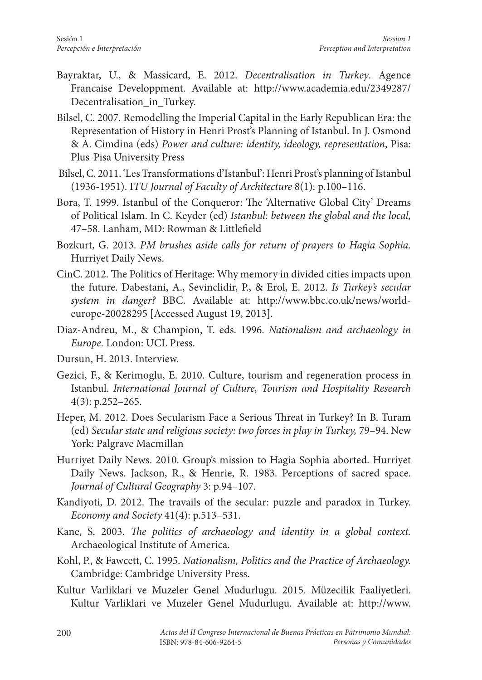- Bayraktar, U., & Massicard, E. 2012. *Decentralisation in Turkey*. Agence Francaise Developpment. Available at: http://www.academia.edu/2349287/ Decentralisation in Turkey.
- Bilsel, C. 2007. Remodelling the Imperial Capital in the Early Republican Era: the Representation of History in Henri Prost's Planning of Istanbul. In J. Osmond & A. Cimdina (eds) *Power and culture: identity, ideology, representation*, Pisa: Plus-Pisa University Press
- Bilsel, C. 2011. 'Les Transformations d'Istanbul': Henri Prost's planning of Istanbul (1936-1951). I*TU Journal of Faculty of Architecture* 8(1): p.100–116.
- Bora, T. 1999. Istanbul of the Conqueror: The 'Alternative Global City' Dreams of Political Islam. In C. Keyder (ed) *Istanbul: between the global and the local,*  47–58. Lanham, MD: Rowman & Littlefield
- Bozkurt, G. 2013. *PM brushes aside calls for return of prayers to Hagia Sophia.* Hurriyet Daily News.
- CinC. 2012. The Politics of Heritage: Why memory in divided cities impacts upon the future. Dabestani, A., Sevinclidir, P., & Erol, E. 2012. *Is Turkey's secular system in danger?* BBC. Available at: http://www.bbc.co.uk/news/worldeurope-20028295 [Accessed August 19, 2013].
- Diaz-Andreu, M., & Champion, T. eds. 1996. *Nationalism and archaeology in Europe.* London: UCL Press.
- Dursun, H. 2013. Interview.
- Gezici, F., & Kerimoglu, E. 2010. Culture, tourism and regeneration process in Istanbul. *International Journal of Culture, Tourism and Hospitality Research*  4(3): p.252–265.
- Heper, M. 2012. Does Secularism Face a Serious Threat in Turkey? In B. Turam (ed) *Secular state and religious society: two forces in play in Turkey,* 79–94. New York: Palgrave Macmillan
- Hurriyet Daily News. 2010. Group's mission to Hagia Sophia aborted. Hurriyet Daily News. Jackson, R., & Henrie, R. 1983. Perceptions of sacred space. *Journal of Cultural Geography* 3: p.94–107.
- Kandiyoti, D. 2012. The travails of the secular: puzzle and paradox in Turkey. *Economy and Society* 41(4): p.513–531.
- Kane, S. 2003. *The politics of archaeology and identity in a global context.* Archaeological Institute of America.
- Kohl, P., & Fawcett, C. 1995. *Nationalism, Politics and the Practice of Archaeology.* Cambridge: Cambridge University Press.
- Kultur Varliklari ve Muzeler Genel Mudurlugu. 2015. Müzecilik Faaliyetleri. Kultur Varliklari ve Muzeler Genel Mudurlugu. Available at: http://www.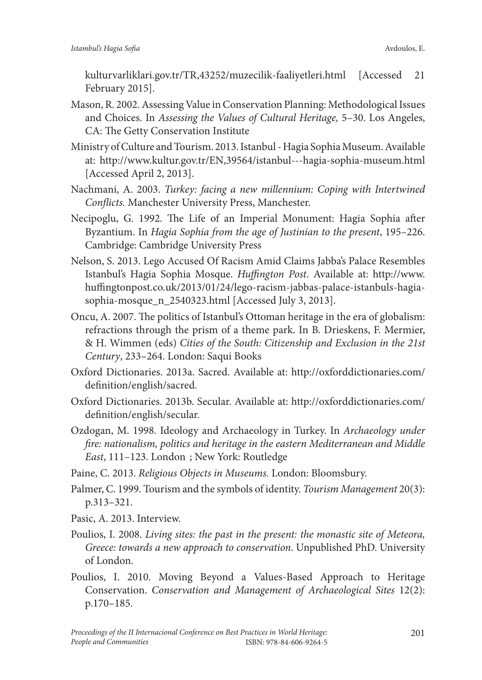kulturvarliklari.gov.tr/TR,43252/muzecilik-faaliyetleri.html [Accessed 21 February 2015].

- Mason, R. 2002. Assessing Value in Conservation Planning: Methodological Issues and Choices. In *Assessing the Values of Cultural Heritage,* 5–30. Los Angeles, CA: The Getty Conservation Institute
- Ministry of Culture and Tourism. 2013. Istanbul Hagia Sophia Museum. Available at: http://www.kultur.gov.tr/EN,39564/istanbul---hagia-sophia-museum.html [Accessed April 2, 2013].
- Nachmani, A. 2003. *Turkey: facing a new millennium: Coping with Intertwined Conflicts.* Manchester University Press, Manchester.
- Necipoglu, G. 1992. The Life of an Imperial Monument: Hagia Sophia after Byzantium. In *Hagia Sophia from the age of Justinian to the present*, 195–226. Cambridge: Cambridge University Press
- Nelson, S. 2013. Lego Accused Of Racism Amid Claims Jabba's Palace Resembles Istanbul's Hagia Sophia Mosque. *Huffington Post*. Available at: http://www. huffingtonpost.co.uk/2013/01/24/lego-racism-jabbas-palace-istanbuls-hagiasophia-mosque\_n\_2540323.html [Accessed July 3, 2013].
- Oncu, A. 2007. The politics of Istanbul's Ottoman heritage in the era of globalism: refractions through the prism of a theme park. In B. Drieskens, F. Mermier, & H. Wimmen (eds) *Cities of the South: Citizenship and Exclusion in the 21st Century*, 233–264. London: Saqui Books
- Oxford Dictionaries. 2013a. Sacred. Available at: http://oxforddictionaries.com/ definition/english/sacred.
- Oxford Dictionaries. 2013b. Secular. Available at: http://oxforddictionaries.com/ definition/english/secular.
- Ozdogan, M. 1998. Ideology and Archaeology in Turkey. In *Archaeology under fire: nationalism, politics and heritage in the eastern Mediterranean and Middle East*, 111–123. London ; New York: Routledge
- Paine, C. 2013. *Religious Objects in Museums.* London: Bloomsbury.
- Palmer, C. 1999. Tourism and the symbols of identity. *Tourism Management* 20(3): p.313–321.
- Pasic, A. 2013. Interview.
- Poulios, I. 2008. *Living sites: the past in the present: the monastic site of Meteora, Greece: towards a new approach to conservation*. Unpublished PhD. University of London.
- Poulios, I. 2010. Moving Beyond a Values-Based Approach to Heritage Conservation. *Conservation and Management of Archaeological Sites* 12(2): p.170–185.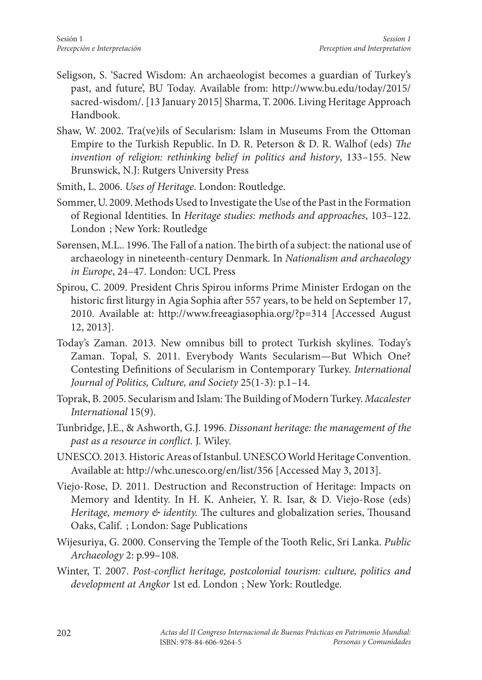- Seligson, S. 'Sacred Wisdom: An archaeologist becomes a guardian of Turkey's past, and future', BU Today. Available from: http://www.bu.edu/today/2015/ sacred-wisdom/. [13 January 2015] Sharma, T. 2006. Living Heritage Approach Handbook.
- Shaw, W. 2002. Tra(ve)ils of Secularism: Islam in Museums From the Ottoman Empire to the Turkish Republic. In D. R. Peterson & D. R. Walhof (eds) *The invention of religion: rethinking belief in politics and history*, 133–155. New Brunswick, N.J: Rutgers University Press
- Smith, L. 2006. *Uses of Heritage*. London: Routledge.
- Sommer, U. 2009. Methods Used to Investigate the Use of the Past in the Formation of Regional Identities. In *Heritage studies: methods and approaches*, 103–122. London ; New York: Routledge
- Sørensen, M.L.. 1996. The Fall of a nation. The birth of a subject: the national use of archaeology in nineteenth-century Denmark. In *Nationalism and archaeology in Europe*, 24–47. London: UCL Press
- Spirou, C. 2009. President Chris Spirou informs Prime Minister Erdogan on the historic first liturgy in Agia Sophia after 557 years, to be held on September 17, 2010. Available at: http://www.freeagiasophia.org/?p=314 [Accessed August 12, 2013].
- Today's Zaman. 2013. New omnibus bill to protect Turkish skylines. Today's Zaman. Topal, S. 2011. Everybody Wants Secularism—But Which One? Contesting Definitions of Secularism in Contemporary Turkey. *International Journal of Politics, Culture, and Society* 25(1-3): p.1–14.
- Toprak, B. 2005. Secularism and Islam: The Building of Modern Turkey. *Macalester International* 15(9).
- Tunbridge, J.E., & Ashworth, G.J. 1996. *Dissonant heritage: the management of the past as a resource in conflict.* J. Wiley.
- UNESCO. 2013. Historic Areas of Istanbul. UNESCO World Heritage Convention. Available at: http://whc.unesco.org/en/list/356 [Accessed May 3, 2013].
- Viejo-Rose, D. 2011. Destruction and Reconstruction of Heritage: Impacts on Memory and Identity. In H. K. Anheier, Y. R. Isar, & D. Viejo-Rose (eds) *Heritage, memory & identity.* The cultures and globalization series, Thousand Oaks, Calif. ; London: Sage Publications
- Wijesuriya, G. 2000. Conserving the Temple of the Tooth Relic, Sri Lanka. *Public Archaeology* 2: p.99–108.
- Winter, T. 2007. *Post-conflict heritage, postcolonial tourism: culture, politics and development at Angkor* 1st ed. London ; New York: Routledge.